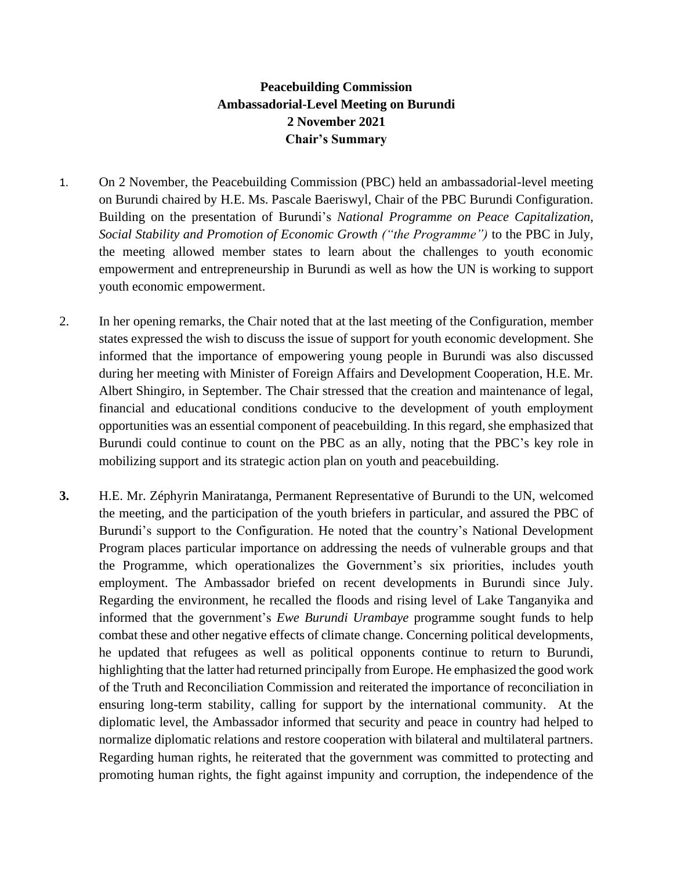## **Peacebuilding Commission Ambassadorial-Level Meeting on Burundi 2 November 2021 Chair's Summary**

- 1. On 2 November, the Peacebuilding Commission (PBC) held an ambassadorial-level meeting on Burundi chaired by H.E. Ms. Pascale Baeriswyl, Chair of the PBC Burundi Configuration. Building on the presentation of Burundi's *National Programme on Peace Capitalization, Social Stability and Promotion of Economic Growth ("the Programme")* to the PBC in July, the meeting allowed member states to learn about the challenges to youth economic empowerment and entrepreneurship in Burundi as well as how the UN is working to support youth economic empowerment.
- 2. In her opening remarks, the Chair noted that at the last meeting of the Configuration, member states expressed the wish to discuss the issue of support for youth economic development. She informed that the importance of empowering young people in Burundi was also discussed during her meeting with Minister of Foreign Affairs and Development Cooperation, H.E. Mr. Albert Shingiro, in September. The Chair stressed that the creation and maintenance of legal, financial and educational conditions conducive to the development of youth employment opportunities was an essential component of peacebuilding. In this regard, she emphasized that Burundi could continue to count on the PBC as an ally, noting that the PBC's key role in mobilizing support and its strategic action plan on youth and peacebuilding.
- **3.** H.E. Mr. Zéphyrin Maniratanga, Permanent Representative of Burundi to the UN, welcomed the meeting, and the participation of the youth briefers in particular, and assured the PBC of Burundi's support to the Configuration. He noted that the country's National Development Program places particular importance on addressing the needs of vulnerable groups and that the Programme, which operationalizes the Government's six priorities, includes youth employment. The Ambassador briefed on recent developments in Burundi since July. Regarding the environment, he recalled the floods and rising level of Lake Tanganyika and informed that the government's *Ewe Burundi Urambaye* programme sought funds to help combat these and other negative effects of climate change. Concerning political developments, he updated that refugees as well as political opponents continue to return to Burundi, highlighting that the latter had returned principally from Europe. He emphasized the good work of the Truth and Reconciliation Commission and reiterated the importance of reconciliation in ensuring long-term stability, calling for support by the international community. At the diplomatic level, the Ambassador informed that security and peace in country had helped to normalize diplomatic relations and restore cooperation with bilateral and multilateral partners. Regarding human rights, he reiterated that the government was committed to protecting and promoting human rights, the fight against impunity and corruption, the independence of the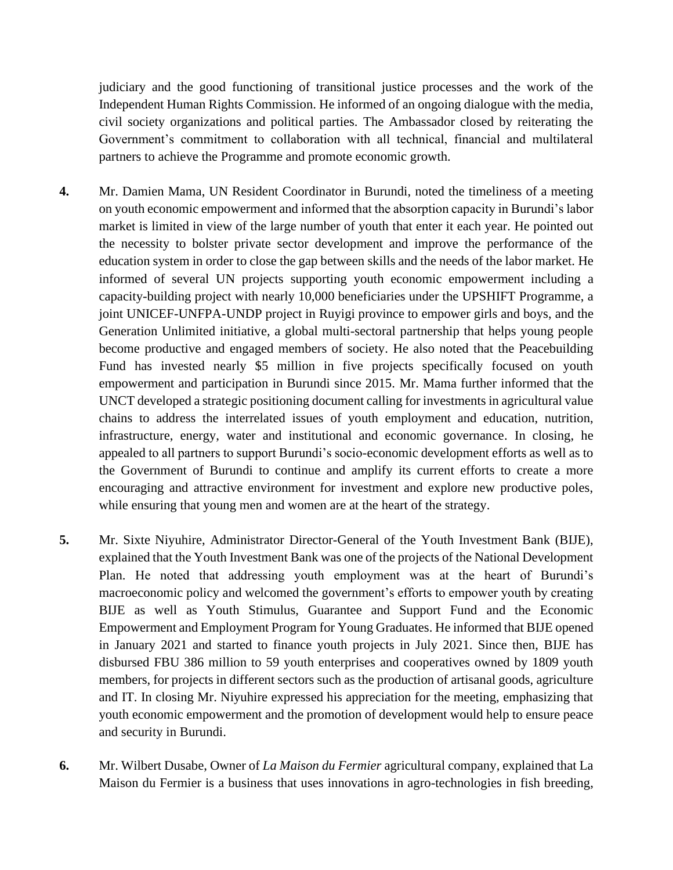judiciary and the good functioning of transitional justice processes and the work of the Independent Human Rights Commission. He informed of an ongoing dialogue with the media, civil society organizations and political parties. The Ambassador closed by reiterating the Government's commitment to collaboration with all technical, financial and multilateral partners to achieve the Programme and promote economic growth.

- **4.** Mr. Damien Mama, UN Resident Coordinator in Burundi, noted the timeliness of a meeting on youth economic empowerment and informed that the absorption capacity in Burundi's labor market is limited in view of the large number of youth that enter it each year. He pointed out the necessity to bolster private sector development and improve the performance of the education system in order to close the gap between skills and the needs of the labor market. He informed of several UN projects supporting youth economic empowerment including a capacity-building project with nearly 10,000 beneficiaries under the UPSHIFT Programme, a joint UNICEF-UNFPA-UNDP project in Ruyigi province to empower girls and boys, and the Generation Unlimited initiative, a global multi-sectoral partnership that helps young people become productive and engaged members of society. He also noted that the Peacebuilding Fund has invested nearly \$5 million in five projects specifically focused on youth empowerment and participation in Burundi since 2015. Mr. Mama further informed that the UNCT developed a strategic positioning document calling for investments in agricultural value chains to address the interrelated issues of youth employment and education, nutrition, infrastructure, energy, water and institutional and economic governance. In closing, he appealed to all partners to support Burundi's socio-economic development efforts as well as to the Government of Burundi to continue and amplify its current efforts to create a more encouraging and attractive environment for investment and explore new productive poles, while ensuring that young men and women are at the heart of the strategy.
- **5.** Mr. Sixte Niyuhire, Administrator Director-General of the Youth Investment Bank (BIJE), explained that the Youth Investment Bank was one of the projects of the National Development Plan. He noted that addressing youth employment was at the heart of Burundi's macroeconomic policy and welcomed the government's efforts to empower youth by creating BIJE as well as Youth Stimulus, Guarantee and Support Fund and the Economic Empowerment and Employment Program for Young Graduates. He informed that BIJE opened in January 2021 and started to finance youth projects in July 2021. Since then, BIJE has disbursed FBU 386 million to 59 youth enterprises and cooperatives owned by 1809 youth members, for projects in different sectors such as the production of artisanal goods, agriculture and IT. In closing Mr. Niyuhire expressed his appreciation for the meeting, emphasizing that youth economic empowerment and the promotion of development would help to ensure peace and security in Burundi.
- **6.** Mr. Wilbert Dusabe, Owner of *La Maison du Fermier* agricultural company, explained that La Maison du Fermier is a business that uses innovations in agro-technologies in fish breeding,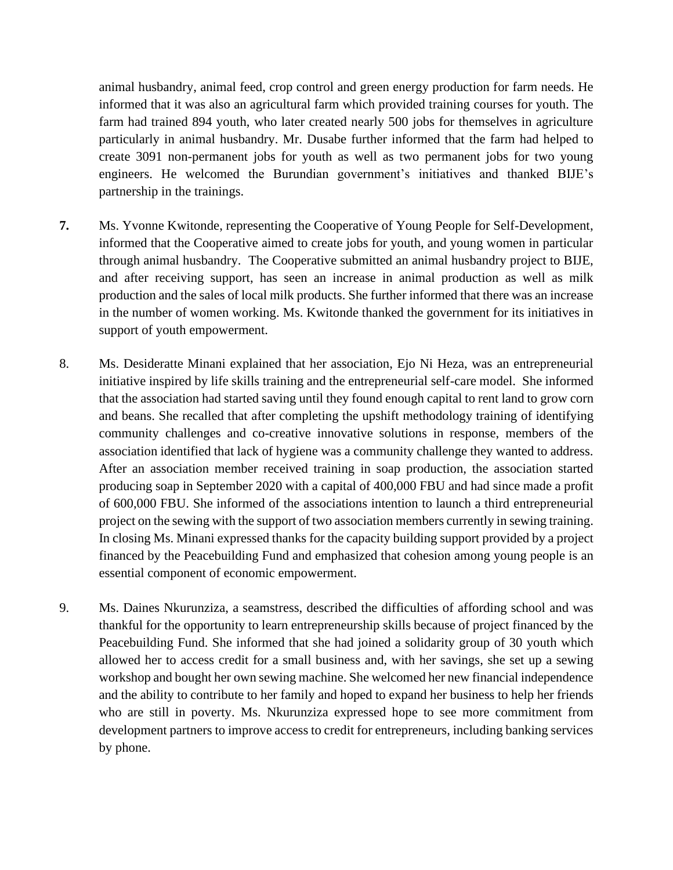animal husbandry, animal feed, crop control and green energy production for farm needs. He informed that it was also an agricultural farm which provided training courses for youth. The farm had trained 894 youth, who later created nearly 500 jobs for themselves in agriculture particularly in animal husbandry. Mr. Dusabe further informed that the farm had helped to create 3091 non-permanent jobs for youth as well as two permanent jobs for two young engineers. He welcomed the Burundian government's initiatives and thanked BIJE's partnership in the trainings.

- **7.** Ms. Yvonne Kwitonde, representing the Cooperative of Young People for Self-Development, informed that the Cooperative aimed to create jobs for youth, and young women in particular through animal husbandry. The Cooperative submitted an animal husbandry project to BIJE, and after receiving support, has seen an increase in animal production as well as milk production and the sales of local milk products. She further informed that there was an increase in the number of women working. Ms. Kwitonde thanked the government for its initiatives in support of youth empowerment.
- 8. Ms. Desideratte Minani explained that her association, Ejo Ni Heza, was an entrepreneurial initiative inspired by life skills training and the entrepreneurial self-care model. She informed that the association had started saving until they found enough capital to rent land to grow corn and beans. She recalled that after completing the upshift methodology training of identifying community challenges and co-creative innovative solutions in response, members of the association identified that lack of hygiene was a community challenge they wanted to address. After an association member received training in soap production, the association started producing soap in September 2020 with a capital of 400,000 FBU and had since made a profit of 600,000 FBU. She informed of the associations intention to launch a third entrepreneurial project on the sewing with the support of two association members currently in sewing training. In closing Ms. Minani expressed thanks for the capacity building support provided by a project financed by the Peacebuilding Fund and emphasized that cohesion among young people is an essential component of economic empowerment.
- 9. Ms. Daines Nkurunziza, a seamstress, described the difficulties of affording school and was thankful for the opportunity to learn entrepreneurship skills because of project financed by the Peacebuilding Fund. She informed that she had joined a solidarity group of 30 youth which allowed her to access credit for a small business and, with her savings, she set up a sewing workshop and bought her own sewing machine. She welcomed her new financial independence and the ability to contribute to her family and hoped to expand her business to help her friends who are still in poverty. Ms. Nkurunziza expressed hope to see more commitment from development partners to improve access to credit for entrepreneurs, including banking services by phone.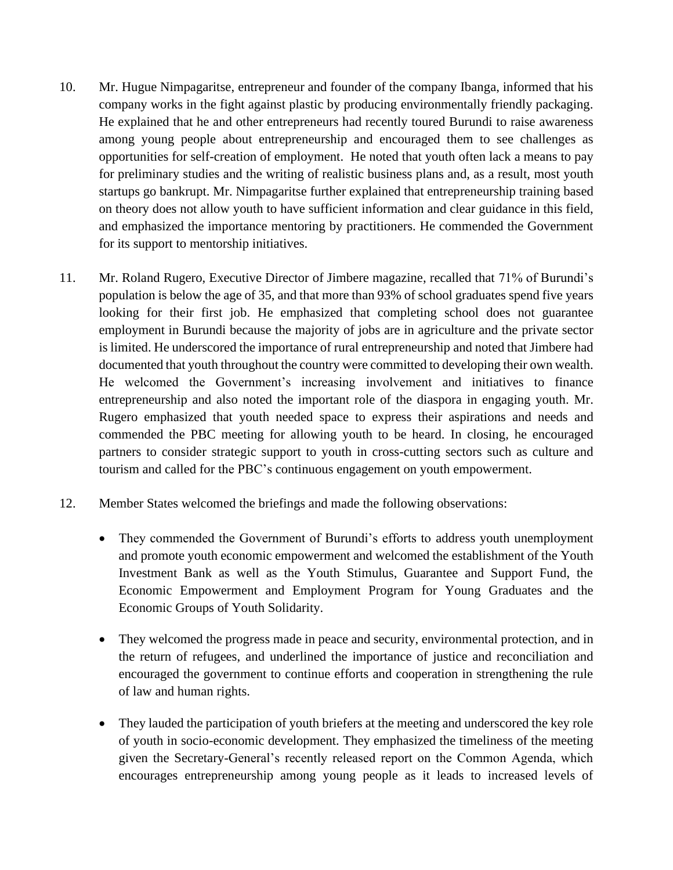- 10. Mr. Hugue Nimpagaritse, entrepreneur and founder of the company Ibanga, informed that his company works in the fight against plastic by producing environmentally friendly packaging. He explained that he and other entrepreneurs had recently toured Burundi to raise awareness among young people about entrepreneurship and encouraged them to see challenges as opportunities for self-creation of employment. He noted that youth often lack a means to pay for preliminary studies and the writing of realistic business plans and, as a result, most youth startups go bankrupt. Mr. Nimpagaritse further explained that entrepreneurship training based on theory does not allow youth to have sufficient information and clear guidance in this field, and emphasized the importance mentoring by practitioners. He commended the Government for its support to mentorship initiatives.
- 11. Mr. Roland Rugero, Executive Director of Jimbere magazine, recalled that 71% of Burundi's population is below the age of 35, and that more than 93% of school graduates spend five years looking for their first job. He emphasized that completing school does not guarantee employment in Burundi because the majority of jobs are in agriculture and the private sector is limited. He underscored the importance of rural entrepreneurship and noted that Jimbere had documented that youth throughout the country were committed to developing their own wealth. He welcomed the Government's increasing involvement and initiatives to finance entrepreneurship and also noted the important role of the diaspora in engaging youth. Mr. Rugero emphasized that youth needed space to express their aspirations and needs and commended the PBC meeting for allowing youth to be heard. In closing, he encouraged partners to consider strategic support to youth in cross-cutting sectors such as culture and tourism and called for the PBC's continuous engagement on youth empowerment.
- 12. Member States welcomed the briefings and made the following observations:
	- They commended the Government of Burundi's efforts to address youth unemployment and promote youth economic empowerment and welcomed the establishment of the Youth Investment Bank as well as the Youth Stimulus, Guarantee and Support Fund, the Economic Empowerment and Employment Program for Young Graduates and the Economic Groups of Youth Solidarity.
	- They welcomed the progress made in peace and security, environmental protection, and in the return of refugees, and underlined the importance of justice and reconciliation and encouraged the government to continue efforts and cooperation in strengthening the rule of law and human rights.
	- They lauded the participation of youth briefers at the meeting and underscored the key role of youth in socio-economic development. They emphasized the timeliness of the meeting given the Secretary-General's recently released report on the Common Agenda, which encourages entrepreneurship among young people as it leads to increased levels of